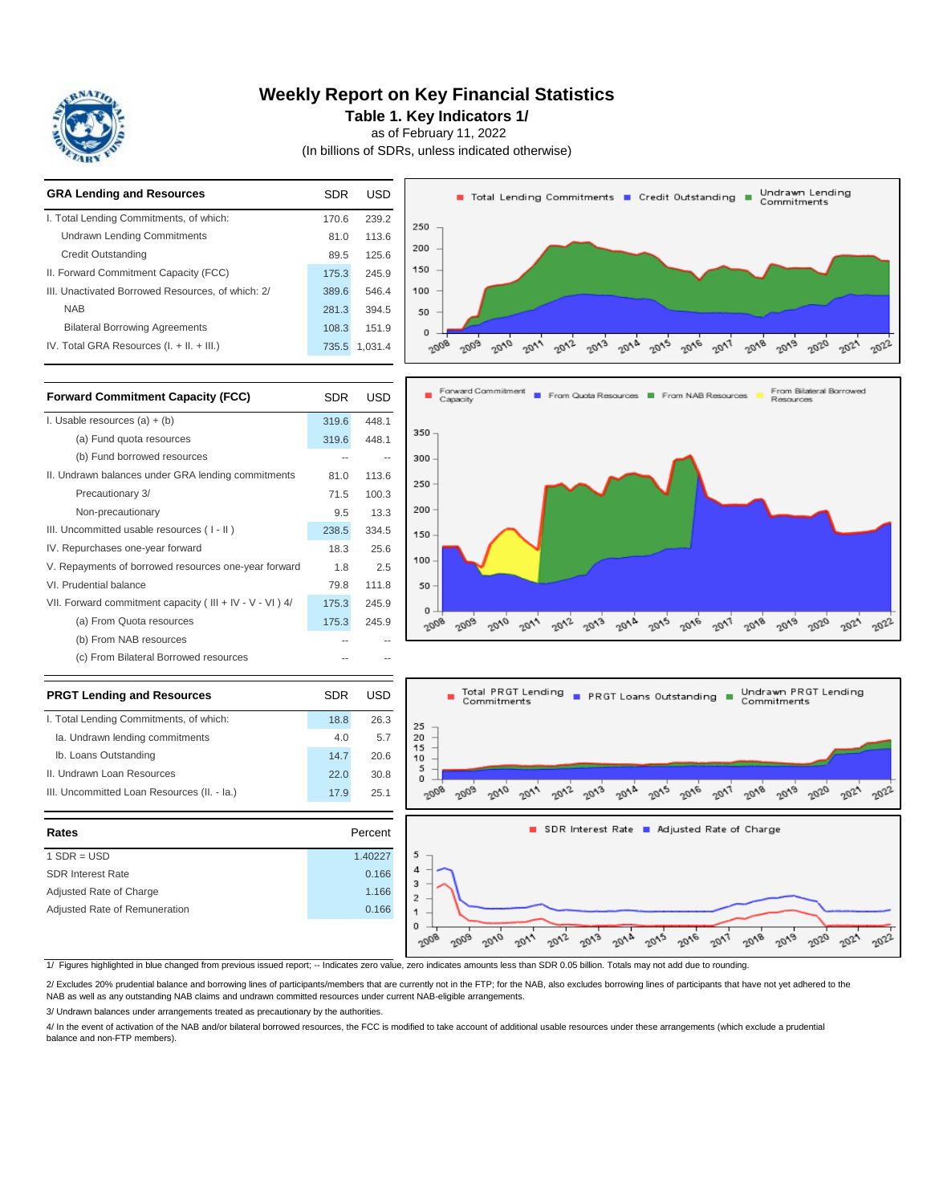

### **Weekly Report on Key Financial Statistics**

**Table 1. Key Indicators 1/**

as of February 11, 2022

(In billions of SDRs, unless indicated otherwise)



3/ Undrawn balances under arrangements treated as precautionary by the authorities.

4/ In the event of activation of the NAB and/or bilateral borrowed resources, the FCC is modified to take account of additional usable resources under these arrangements (which exclude a prudential balance and non-FTP members).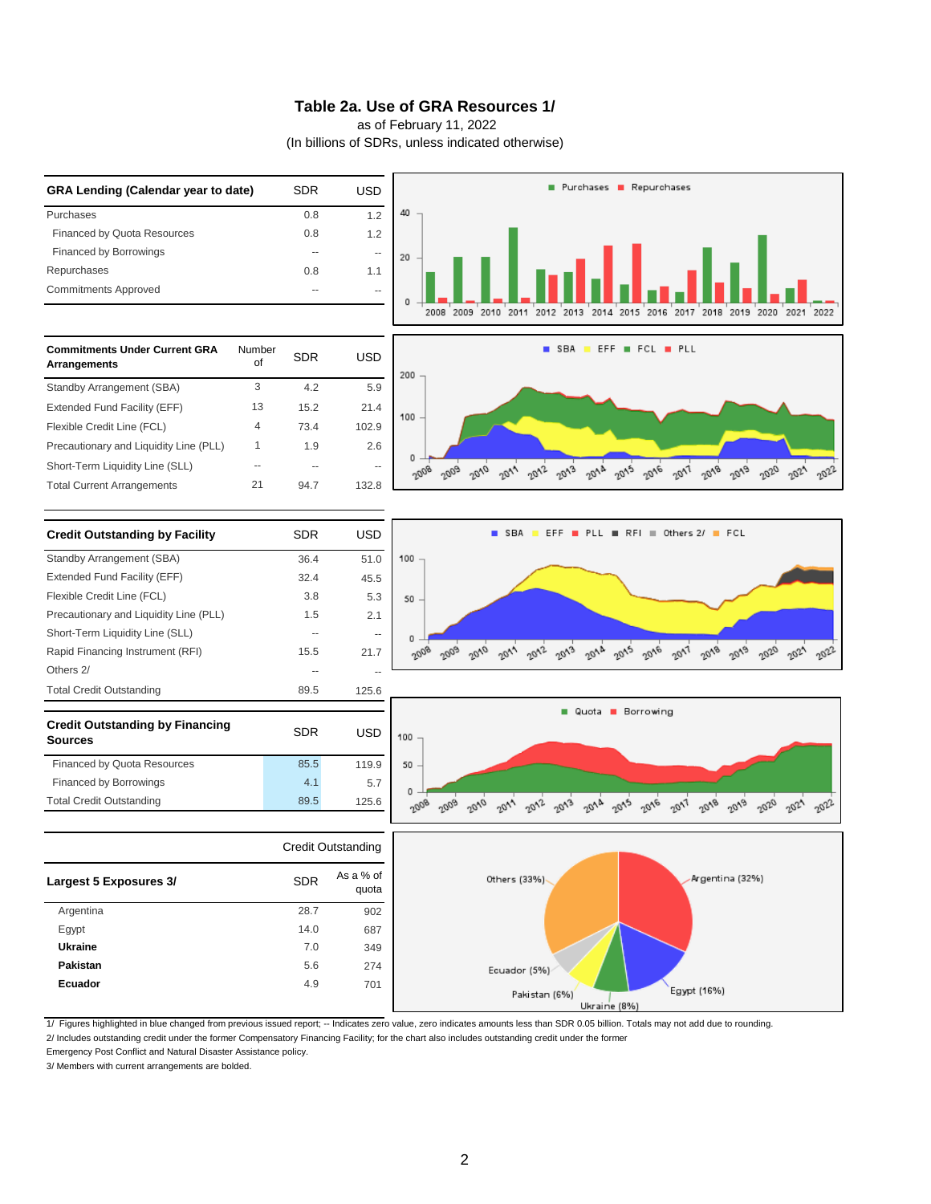#### **Table 2a. Use of GRA Resources 1/**

as of February 11, 2022

(In billions of SDRs, unless indicated otherwise)



1/ Figures highlighted in blue changed from previous issued report; -- Indicates zero value, zero indicates amounts less than SDR 0.05 billion. Totals may not add due to rounding.

Emergency Post Conflict and Natural Disaster Assistance policy.

3/ Members with current arrangements are bolded.

<sup>2/</sup> Includes outstanding credit under the former Compensatory Financing Facility; for the chart also includes outstanding credit under the former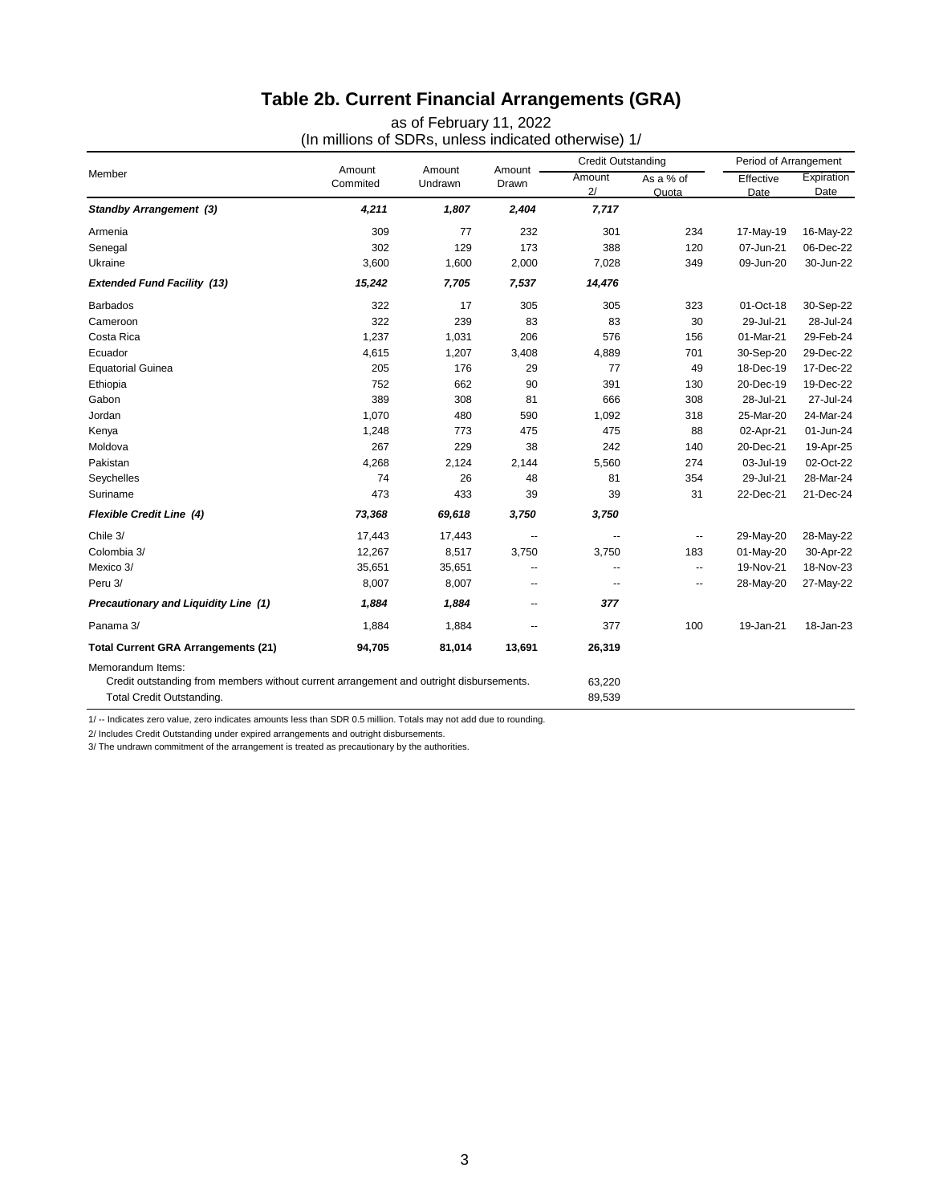# **Table 2b. Current Financial Arrangements (GRA)**

as of February 11, 2022

(In millions of SDRs, unless indicated otherwise) 1/

| Member                                                                                  | Amount<br>Commited | Amount<br>Undrawn |                 | <b>Credit Outstanding</b> |                    | Period of Arrangement |                    |
|-----------------------------------------------------------------------------------------|--------------------|-------------------|-----------------|---------------------------|--------------------|-----------------------|--------------------|
|                                                                                         |                    |                   | Amount<br>Drawn | Amount<br>2/              | As a % of<br>Quota | Effective<br>Date     | Expiration<br>Date |
| <b>Standby Arrangement (3)</b>                                                          | 4,211              | 1,807             | 2,404           | 7,717                     |                    |                       |                    |
| Armenia                                                                                 | 309                | 77                | 232             | 301                       | 234                | 17-May-19             | 16-May-22          |
| Senegal                                                                                 | 302                | 129               | 173             | 388                       | 120                | 07-Jun-21             | 06-Dec-22          |
| Ukraine                                                                                 | 3,600              | 1,600             | 2,000           | 7,028                     | 349                | 09-Jun-20             | 30-Jun-22          |
| <b>Extended Fund Facility (13)</b>                                                      | 15,242             | 7,705             | 7,537           | 14,476                    |                    |                       |                    |
| <b>Barbados</b>                                                                         | 322                | 17                | 305             | 305                       | 323                | 01-Oct-18             | 30-Sep-22          |
| Cameroon                                                                                | 322                | 239               | 83              | 83                        | 30                 | 29-Jul-21             | 28-Jul-24          |
| Costa Rica                                                                              | 1,237              | 1,031             | 206             | 576                       | 156                | 01-Mar-21             | 29-Feb-24          |
| Ecuador                                                                                 | 4,615              | 1,207             | 3,408           | 4,889                     | 701                | 30-Sep-20             | 29-Dec-22          |
| <b>Equatorial Guinea</b>                                                                | 205                | 176               | 29              | 77                        | 49                 | 18-Dec-19             | 17-Dec-22          |
| Ethiopia                                                                                | 752                | 662               | 90              | 391                       | 130                | 20-Dec-19             | 19-Dec-22          |
| Gabon                                                                                   | 389                | 308               | 81              | 666                       | 308                | 28-Jul-21             | 27-Jul-24          |
| Jordan                                                                                  | 1,070              | 480               | 590             | 1,092                     | 318                | 25-Mar-20             | 24-Mar-24          |
| Kenya                                                                                   | 1,248              | 773               | 475             | 475                       | 88                 | 02-Apr-21             | 01-Jun-24          |
| Moldova                                                                                 | 267                | 229               | 38              | 242                       | 140                | 20-Dec-21             | 19-Apr-25          |
| Pakistan                                                                                | 4,268              | 2,124             | 2,144           | 5,560                     | 274                | 03-Jul-19             | 02-Oct-22          |
| Seychelles                                                                              | 74                 | 26                | 48              | 81                        | 354                | 29-Jul-21             | 28-Mar-24          |
| Suriname                                                                                | 473                | 433               | 39              | 39                        | 31                 | 22-Dec-21             | 21-Dec-24          |
| <b>Flexible Credit Line (4)</b>                                                         | 73,368             | 69,618            | 3,750           | 3,750                     |                    |                       |                    |
| Chile 3/                                                                                | 17,443             | 17,443            | --              | --                        | --                 | 29-May-20             | 28-May-22          |
| Colombia 3/                                                                             | 12,267             | 8,517             | 3,750           | 3,750                     | 183                | 01-May-20             | 30-Apr-22          |
| Mexico 3/                                                                               | 35,651             | 35,651            | ÷               | --                        | --                 | 19-Nov-21             | 18-Nov-23          |
| Peru 3/                                                                                 | 8,007              | 8,007             | --              | --                        | --                 | 28-May-20             | 27-May-22          |
| Precautionary and Liquidity Line (1)                                                    | 1,884              | 1,884             | --              | 377                       |                    |                       |                    |
| Panama 3/                                                                               | 1,884              | 1,884             | --              | 377                       | 100                | 19-Jan-21             | 18-Jan-23          |
| <b>Total Current GRA Arrangements (21)</b>                                              | 94,705             | 81,014            | 13,691          | 26,319                    |                    |                       |                    |
| Memorandum Items:                                                                       |                    |                   |                 |                           |                    |                       |                    |
| Credit outstanding from members without current arrangement and outright disbursements. |                    |                   |                 | 63,220                    |                    |                       |                    |
| <b>Total Credit Outstanding.</b>                                                        |                    |                   |                 | 89,539                    |                    |                       |                    |

1/ -- Indicates zero value, zero indicates amounts less than SDR 0.5 million. Totals may not add due to rounding.

2/ Includes Credit Outstanding under expired arrangements and outright disbursements.

3/ The undrawn commitment of the arrangement is treated as precautionary by the authorities.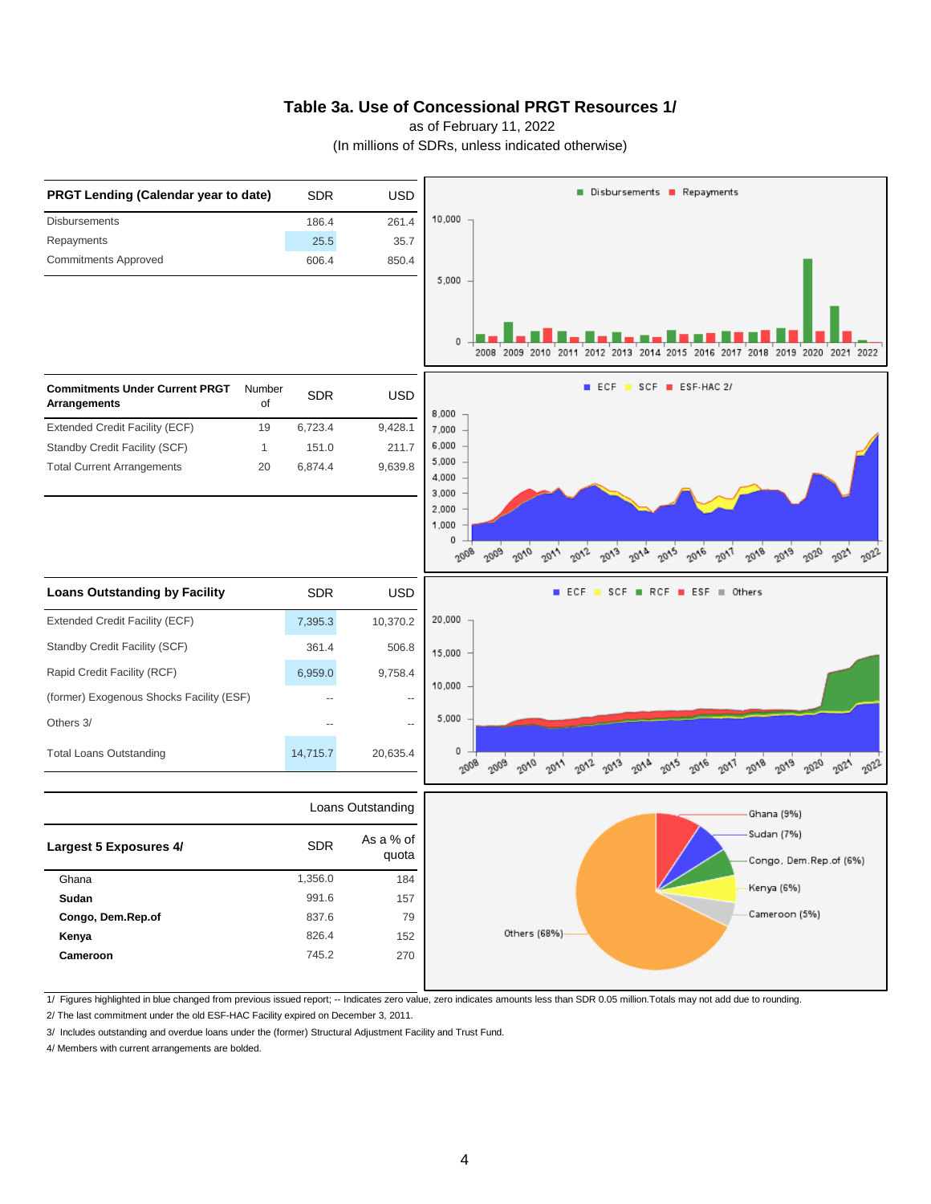#### **Table 3a. Use of Concessional PRGT Resources 1/**

as of February 11, 2022

(In millions of SDRs, unless indicated otherwise)



1/ Figures highlighted in blue changed from previous issued report; -- Indicates zero value, zero indicates amounts less than SDR 0.05 million.Totals may not add due to rounding.

2/ The last commitment under the old ESF-HAC Facility expired on December 3, 2011.

3/ Includes outstanding and overdue loans under the (former) Structural Adjustment Facility and Trust Fund.

4/ Members with current arrangements are bolded.